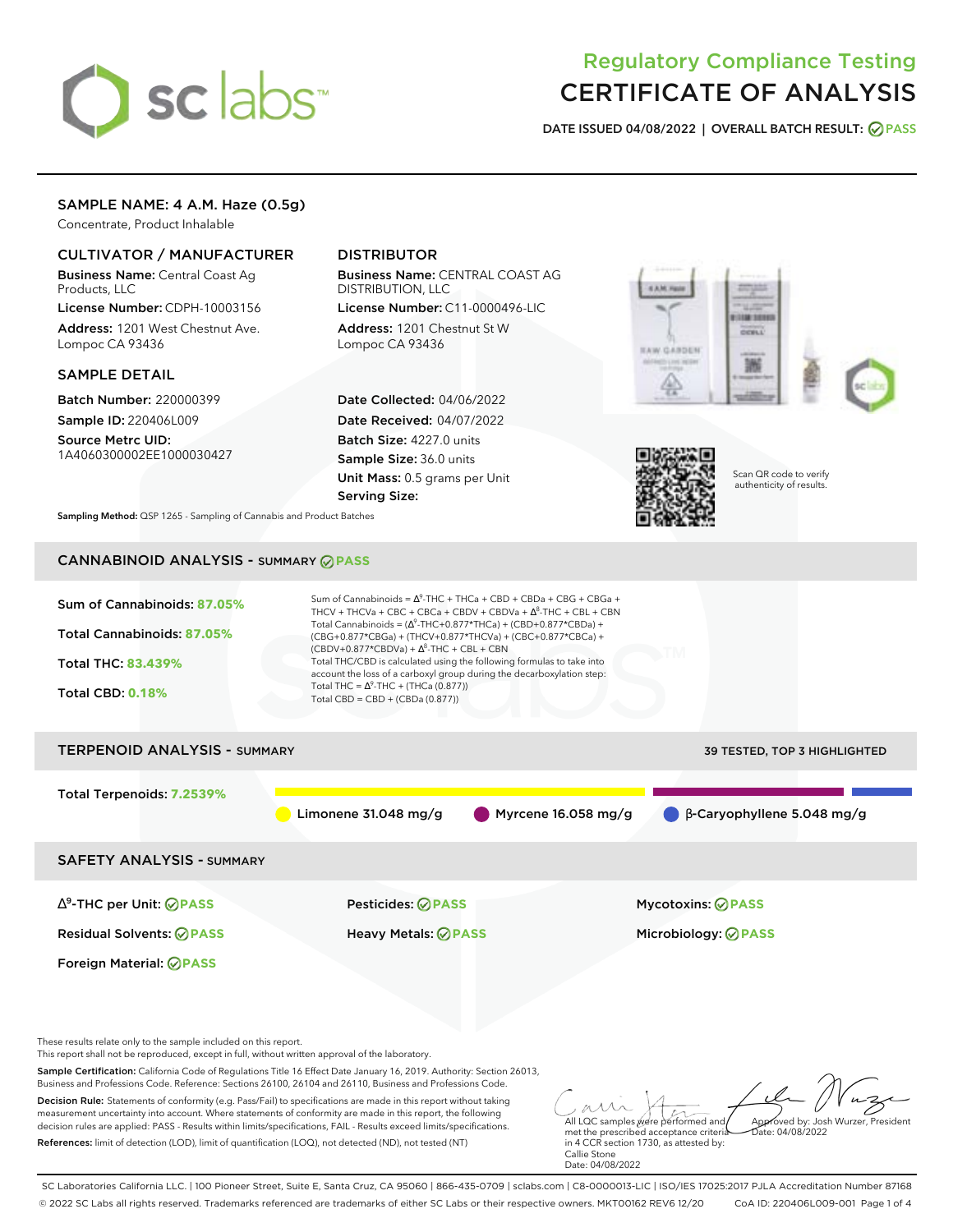# sclabs<sup>\*</sup>

# Regulatory Compliance Testing CERTIFICATE OF ANALYSIS

**DATE ISSUED 04/08/2022 | OVERALL BATCH RESULT: PASS**

# SAMPLE NAME: 4 A.M. Haze (0.5g)

Concentrate, Product Inhalable

# CULTIVATOR / MANUFACTURER

Business Name: Central Coast Ag Products, LLC

License Number: CDPH-10003156 Address: 1201 West Chestnut Ave. Lompoc CA 93436

# SAMPLE DETAIL

Batch Number: 220000399 Sample ID: 220406L009

Source Metrc UID: 1A4060300002EE1000030427

# DISTRIBUTOR

Business Name: CENTRAL COAST AG DISTRIBUTION, LLC

License Number: C11-0000496-LIC Address: 1201 Chestnut St W Lompoc CA 93436

Date Collected: 04/06/2022 Date Received: 04/07/2022 Batch Size: 4227.0 units Sample Size: 36.0 units Unit Mass: 0.5 grams per Unit Serving Size:





Scan QR code to verify authenticity of results.

**Sampling Method:** QSP 1265 - Sampling of Cannabis and Product Batches

# CANNABINOID ANALYSIS - SUMMARY **PASS**



SC Laboratories California LLC. | 100 Pioneer Street, Suite E, Santa Cruz, CA 95060 | 866-435-0709 | sclabs.com | C8-0000013-LIC | ISO/IES 17025:2017 PJLA Accreditation Number 87168 © 2022 SC Labs all rights reserved. Trademarks referenced are trademarks of either SC Labs or their respective owners. MKT00162 REV6 12/20 CoA ID: 220406L009-001 Page 1 of 4